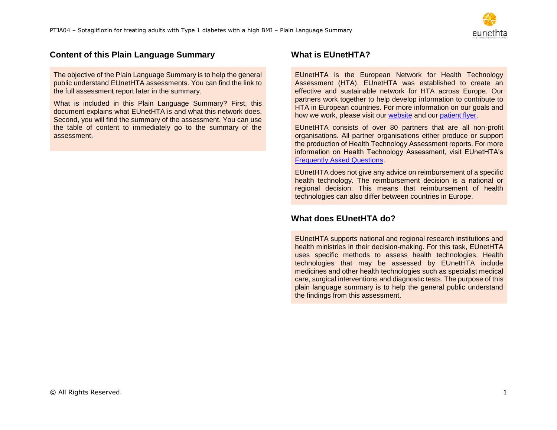

# **Content of this Plain Language Summary**

The objective of the Plain Language Summary is to help the general public understand EUnetHTA assessments. You can find the link to the full assessment report later in the summary.

What is included in this Plain Language Summary? First, this document explains what EUnetHTA is and what this network does. Second, you will find the summary of the assessment. You can use the table of content to immediately go to the summary of the assessment.

# **What is EUnetHTA?**

EUnetHTA is the European Network for Health Technology Assessment (HTA). EUnetHTA was established to create an effective and sustainable network for HTA across Europe. Our partners work together to help develop information to contribute to HTA in European countries. For more information on our goals and how we work, please visit our [website](https://eunethta.eu/) and our [patient flyer.](https://eunethta.eu/wp-content/uploads/2020/01/Electronic-Flyer-Patients.pdf)

EUnetHTA consists of over 80 partners that are all non-profit organisations. All partner organisations either produce or support the production of Health Technology Assessment reports. For more information on Health Technology Assessment, visit EUnetHTA's [Frequently Asked Questions.](https://eunethta.eu/services/submission-guidelines/submissions-faq/)

EUnetHTA does not give any advice on reimbursement of a specific health technology. The reimbursement decision is a national or regional decision. This means that reimbursement of health technologies can also differ between countries in Europe.

# **What does EUnetHTA do?**

EUnetHTA supports national and regional research institutions and health ministries in their decision-making. For this task, EUnetHTA uses specific methods to assess health technologies. Health technologies that may be assessed by EUnetHTA include medicines and other health technologies such as specialist medical care, surgical interventions and diagnostic tests. The purpose of this plain language summary is to help the general public understand the findings from this assessment.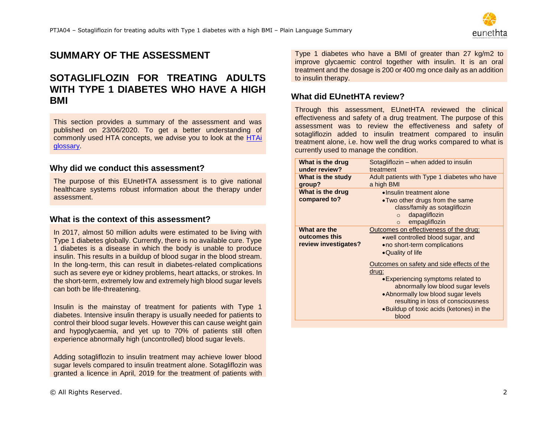

# **SUMMARY OF THE ASSESSMENT**

# **SOTAGLIFLOZIN FOR TREATING ADULTS WITH TYPE 1 DIABETES WHO HAVE A HIGH BMI**

This section provides a summary of the assessment and was published on 23/06/2020. To get a better understanding of commonly used HTA concepts, we advise you to look at the [HTAi](https://htai.org/wp-content/uploads/2018/02/HTAiPatientAndConsumerGlossaryOctober2009_01.pdf)  [glossary.](https://htai.org/wp-content/uploads/2018/02/HTAiPatientAndConsumerGlossaryOctober2009_01.pdf)

#### **Why did we conduct this assessment?**

The purpose of this EUnetHTA assessment is to give national healthcare systems robust information about the therapy under assessment.

#### **What is the context of this assessment?**

In 2017, almost 50 million adults were estimated to be living with Type 1 diabetes globally. Currently, there is no available cure. Type 1 diabetes is a disease in which the body is unable to produce insulin. This results in a buildup of blood sugar in the blood stream. In the long-term, this can result in diabetes-related complications such as severe eye or kidney problems, heart attacks, or strokes. In the short-term, extremely low and extremely high blood sugar levels can both be life-threatening.

Insulin is the mainstay of treatment for patients with Type 1 diabetes. Intensive insulin therapy is usually needed for patients to control their blood sugar levels. However this can cause weight gain and hypoglycaemia, and yet up to 70% of patients still often experience abnormally high (uncontrolled) blood sugar levels.

Adding sotagliflozin to insulin treatment may achieve lower blood sugar levels compared to insulin treatment alone. Sotagliflozin was granted a licence in April, 2019 for the treatment of patients with Type 1 diabetes who have a BMI of greater than 27 kg/m2 to improve glycaemic control together with insulin. It is an oral treatment and the dosage is 200 or 400 mg once daily as an addition to insulin therapy.

### **What did EUnetHTA review?**

Through this assessment, EUnetHTA reviewed the clinical effectiveness and safety of a drug treatment. The purpose of this assessment was to review the effectiveness and safety of sotagliflozin added to insulin treatment compared to insulin treatment alone, i.e. how well the drug works compared to what is currently used to manage the condition.

| What is the drug                                      | Sotagliflozin - when added to insulin                                                                                                                                                                                                                                                                                                                                                                |
|-------------------------------------------------------|------------------------------------------------------------------------------------------------------------------------------------------------------------------------------------------------------------------------------------------------------------------------------------------------------------------------------------------------------------------------------------------------------|
| under review?                                         | treatment                                                                                                                                                                                                                                                                                                                                                                                            |
| What is the study                                     | Adult patients with Type 1 diabetes who have                                                                                                                                                                                                                                                                                                                                                         |
| group?                                                | a high BMI                                                                                                                                                                                                                                                                                                                                                                                           |
| What is the drug<br>compared to?                      | •Insulin treatment alone<br>• Two other drugs from the same<br>class/family as sotagliflozin<br>dapagliflozin<br>$\Omega$<br>empagliflozin<br>$\Omega$                                                                                                                                                                                                                                               |
| What are the<br>outcomes this<br>review investigates? | Outcomes on effectiveness of the drug:<br>.well controlled blood sugar, and<br>• no short-term complications<br>•Quality of life<br>Outcomes on safety and side effects of the<br>drug:<br>• Experiencing symptoms related to<br>abnormally low blood sugar levels<br>• Abnormally low blood sugar levels<br>resulting in loss of consciousness<br>.Buildup of toxic acids (ketones) in the<br>blood |